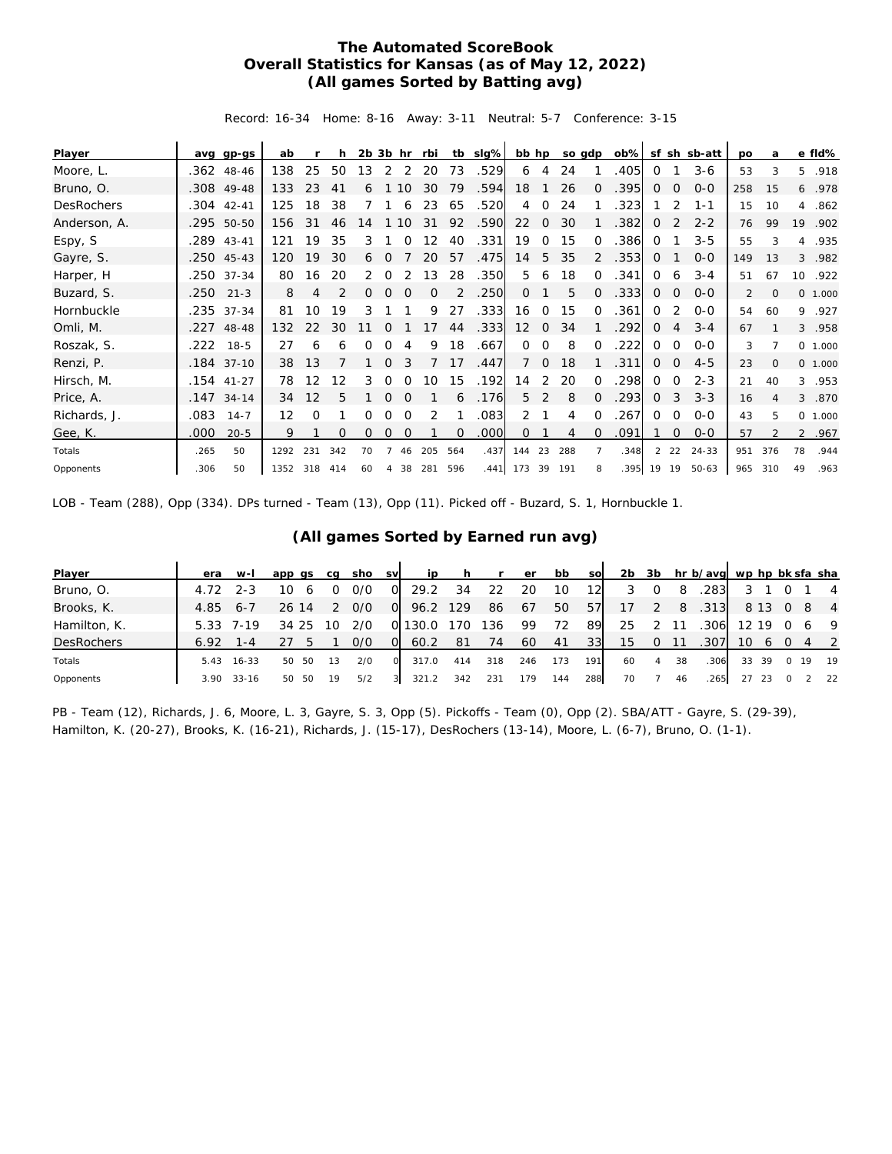## **The Automated ScoreBook Overall Statistics for Kansas (as of May 12, 2022) (All games Sorted by Batting avg)**

Record: 16-34 Home: 8-16 Away: 3-11 Neutral: 5-7 Conference: 3-15

| Player       | ava  | gp-gs        | ab   |     | h        | $2b$ $3b$ hr |          |                | rbi | tb       | slg%              | bb hp           |              | so gdp |              | $ob\%$ |              |              | sf sh sb-att | <b>DO</b>      | a              |    | e fld%  |
|--------------|------|--------------|------|-----|----------|--------------|----------|----------------|-----|----------|-------------------|-----------------|--------------|--------|--------------|--------|--------------|--------------|--------------|----------------|----------------|----|---------|
| Moore, L.    |      | .362 48-46   | 138  | 25  | 50       | 13           | 2        | 2              | 20  | 73       | .529              | 6               | 4            | 24     |              | .405   | $\Omega$     |              | $3 - 6$      | 53             | 3              | 5  | .918    |
| Bruno, O.    | .308 | 49-48        | 133  | 23  | 41       | 6            |          | 10             | 30  | 79       | .594              | 18              |              | 26     | <sup>o</sup> | .395   | $\Omega$     | $\Omega$     | $O - O$      | 258            | 15             | 6  | .978    |
| DesRochers   | .304 | $42 - 41$    | 125  | 18  | 38       |              |          | 6              | 23  | 65       | .520              | 4               | $\Omega$     | 24     |              | 323    |              | 2            | $1 - 1$      | 15             | 10             | 4  | .862    |
| Anderson, A. |      | .295 50-50   | 156  | 31  | 46       | 14           |          | 10             | 31  | 92       | .590              | 22              | $\Omega$     | 30     |              | .382   | $\Omega$     | 2            | $2 - 2$      | 76             | 99             | 19 | .902    |
| Espy, S      |      | .289 43-41   | 121  | 19  | 35       | 3            |          | $\Omega$       | 12  | 40       | .331              | 19              | $\Omega$     | 15     | $\Omega$     | .386   | $\Omega$     |              | $3 - 5$      | 55             | 3              | 4  | .935    |
| Gayre, S.    |      | $.250$ 45-43 | 120  | 19  | 30       | 6            | $\Omega$ |                | 20  | 57       | .475              | 14              | 5            | 35     | 2            | .353   | $\Omega$     |              | $O - O$      | 149            | 13             | 3  | .982    |
| Harper, H    |      | .250 37-34   | 80   | 16  | 20       | 2            | $\Omega$ |                | 13  | 28       | .350              | 5               | 6            | 18     | $\Omega$     | .341   | $\Omega$     | 6            | $3 - 4$      | 51             | 67             | 10 | .922    |
| Buzard, S.   | .250 | $21 - 3$     | 8    | 4   | 2        | 0            | 0        | $\overline{0}$ | 0   |          | .250              | $\circ$         |              | 5      | $\Omega$     | .333   | $\mathbf{0}$ | $\circ$      | $O - O$      | $\overline{2}$ | $\mathbf{0}$   |    | 0 1.000 |
| Hornbuckle   |      | .235 37-34   | 81   | 10  | 19       | 3            |          |                | 9   | 27       | .333              | 16              | $\Omega$     | 15     | $\Omega$     | .361   | $\Omega$     | 2            | $0 - 0$      | 54             | 60             | 9  | .927    |
| Omli, M.     |      | .227 48-48   | 132  | 22  | 30       | 11           | $\Omega$ |                | 17  | 44       | .333              | 12 <sup>2</sup> | $\mathbf{0}$ | 34     |              | .292   | 0            | 4            | $3 - 4$      | 67             |                |    | 3.958   |
| Roszak, S.   | .222 | 18-5         | 27   | 6   | 6        | 0            | 0        | 4              | 9   | 18       | .667              | $\Omega$        | $\Omega$     | 8      | 0            | 222    | $\Omega$     | $\Omega$     | $0 - 0$      | 3              |                |    | 0 1.000 |
| Renzi, P.    |      | .184 37-10   | 38   | 13  |          |              | $\Omega$ | 3              |     | 17       | .447              | $\overline{7}$  | $\circ$      | 18     |              | .311   | $\mathbf{0}$ | $\circ$      | $4 - 5$      | 23             | $\mathbf{O}$   |    | 0 1.000 |
| Hirsch, M.   |      | $.154$ 41-27 | 78   | 12  | 12       | 3            | $\Omega$ | $\Omega$       | 10  | 15       | .192              | 14              | 2            | 20     | $\Omega$     | .298   | $\Omega$     | $\circ$      | $2 - 3$      | 21             | 40             | 3  | .953    |
| Price, A.    |      | $.147$ 34-14 | 34   | 12  | 5        |              | $\Omega$ | $\Omega$       |     | 6        | .176              | 5               | 2            | 8      | $\Omega$     | .293   | $\circ$      | 3            | $3 - 3$      | 16             | $\overline{A}$ | 3  | .870    |
| Richards, J. | .083 | $14 - 7$     | 12   | 0   |          | 0            | 0        | $\Omega$       | 2   |          | .083              | $\overline{2}$  |              | 4      | $\Omega$     | .267   | $\Omega$     | $\circ$      | $O - O$      | 43             | 5              |    | 0 1.000 |
| Gee, K.      | .000 | $20 - 5$     | 9    |     | $\Omega$ | 0            | 0        | 0              |     | $\Omega$ | .000 <sub>1</sub> | 0               |              | 4      | $\Omega$     | .091   |              | $\mathbf{0}$ | $0 - 0$      | 57             |                |    | 2 .967  |
| Totals       | .265 | 50           | 1292 | 231 | 342      | 70           |          | 46             | 205 | 564      | .437              | 144             | 23           | 288    | 7            | .348   |              | $2 \t22$     | 24-33        | 951            | 376            | 78 | .944    |
| Opponents    | .306 | 50           | 1352 | 318 | 414      | 60           | 4        | 38             | 281 | 596      |                   | .441 173        | 39           | 191    | 8            | .395   | 19           | - 19         | $50 - 63$    | 965            | 310            | 49 | .963    |

LOB - Team (288), Opp (334). DPs turned - Team (13), Opp (11). Picked off - Buzard, S. 1, Hornbuckle 1.

| Player            | era  | $W-I$      | app qs     | ca | sho | <b>SV</b> | ip    | h.  | $\mathbf{r}$ | er  | bb  | SO  | 2b |   |    | 3b hr b/avg wp hp bk sfa sha |       |       |          |    |                |
|-------------------|------|------------|------------|----|-----|-----------|-------|-----|--------------|-----|-----|-----|----|---|----|------------------------------|-------|-------|----------|----|----------------|
| Bruno, O.         |      | 2-3        | 10         |    | 0/0 | O         | 29.2  | 34  | 22           | 20  | 10  | 12  |    |   | 8  | .283                         |       |       |          |    | $\overline{4}$ |
| Brooks, K.        | 4.85 | $6 - 7$    | 26 14      |    | 0/0 | O         | 96.2  | 129 | 86           | 67  | 50  | 57  | 17 |   | 8  | .313                         |       | 8 1 3 | $\Omega$ | -8 | $\overline{4}$ |
| Hamilton, K.      | 5.33 | 7-19       | 34 25      | 10 | 2/0 | OI.       | 130.0 | 170 | 136          | 99  | 72  | 89  | 25 |   |    | 306                          | 12 19 |       | $\Omega$ |    | - 9            |
| <b>DesRochers</b> | 6.92 | . – 4      |            |    | 0/0 | $\Omega$  | 60.2  | 81  | 74           | 60  | 41  | 33  | 15 |   |    | .307                         | 10    | 6     |          |    |                |
| Totals            |      | 5.43 16-33 | 50.<br>-50 | 13 | 2/0 | $\Omega$  | 317.0 | 414 | 318          | 246 | 173 | 191 | 60 | 4 | 38 | .306                         | 33    | -39   | $\Omega$ | 19 | 19             |
| Opponents         | 3.90 | $33 - 16$  | 50<br>-50  | 19 | 5/2 |           | 321   | 342 | 231          | 179 | 144 | 288 | 70 |   | 46 | .265                         | 27    | 23    |          |    | 22             |

## **(All games Sorted by Earned run avg)**

PB - Team (12), Richards, J. 6, Moore, L. 3, Gayre, S. 3, Opp (5). Pickoffs - Team (0), Opp (2). SBA/ATT - Gayre, S. (29-39), Hamilton, K. (20-27), Brooks, K. (16-21), Richards, J. (15-17), DesRochers (13-14), Moore, L. (6-7), Bruno, O. (1-1).